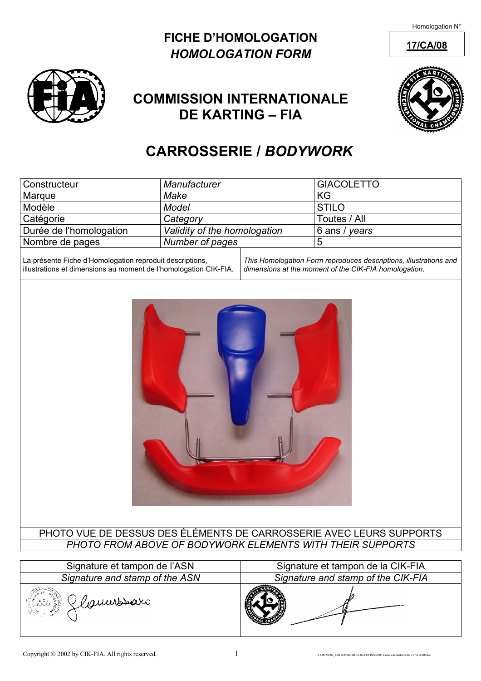Homologation N°

### **FICHE D'HOMOLOGATION** 17/CA/08 *HOMOLOGATION FORM*





## **COMMISSION INTERNATIONALE DE KARTING – FIA**

# **CARROSSERIE /** *BODYWORK*

| <b>Constructeur</b>                                        | Manufacturer                 |  | <b>GIACOLETTO</b>                                                   |
|------------------------------------------------------------|------------------------------|--|---------------------------------------------------------------------|
| Marque                                                     | Make                         |  | KG                                                                  |
| Modèle                                                     | <b>Model</b>                 |  | <b>STILO</b>                                                        |
| Catégorie                                                  | Category                     |  | Toutes / All                                                        |
| Durée de l'homologation                                    | Validity of the homologation |  | 6 ans / years                                                       |
| Nombre de pages                                            | Number of pages              |  | 5                                                                   |
| Ll a présente Fiche d'Homologation reproduit descriptions. |                              |  | This Homologation Form reproduces descriptions, illustrations and 1 |

La présente Fiche d'Homologation reproduit descriptions, illustrations et dimensions au moment de l'homologation CIK-FIA. *This Homologation Form reproduces descriptions, illustrations and dimensions at the moment of the CIK-FIA homologation.* 



#### PHOTO VUE DE DESSUS DES ÉLÉMENTS DE CARROSSERIE AVEC LEURS SUPPORTS *PHOTO FROM ABOVE OF BODYWORK ELEMENTS WITH THEIR SUPPORTS*

| Signature et tampon de l'ASN                                                 | Signature et tampon de la CIK-FIA  |  |  |
|------------------------------------------------------------------------------|------------------------------------|--|--|
| Signature and stamp of the ASN                                               | Signature and stamp of the CIK-FIA |  |  |
| <b>UTOM</b><br>Glaumssars<br>$6.1.81$<br>5. A. I. $3.5.7$<br>4. $\sqrt{2.7}$ |                                    |  |  |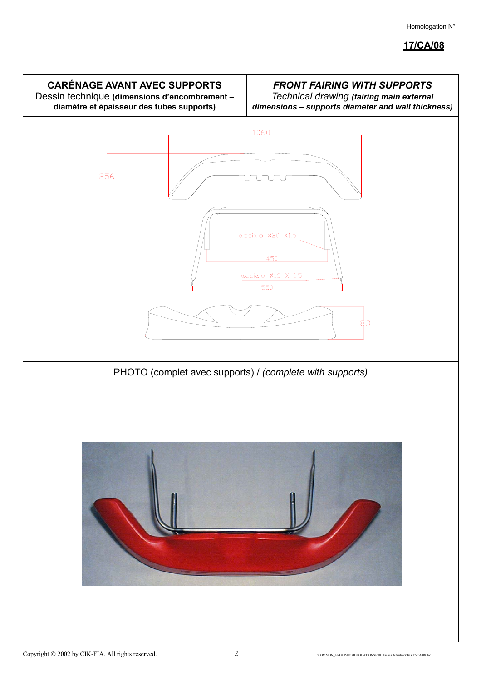**17/CA/08**

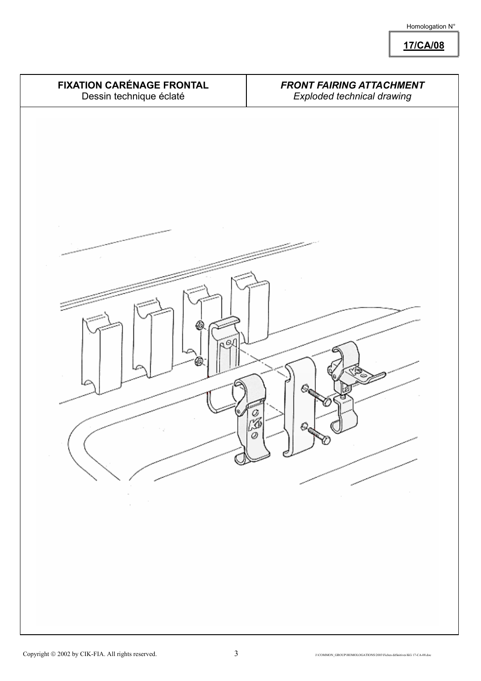**17/CA/08**

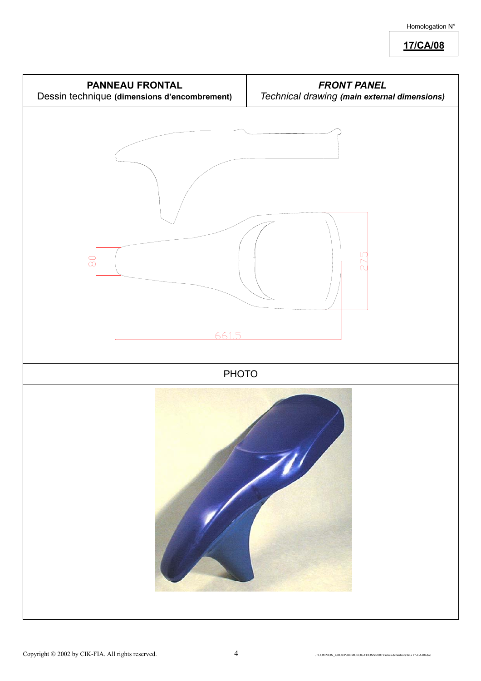**17/CA/08**